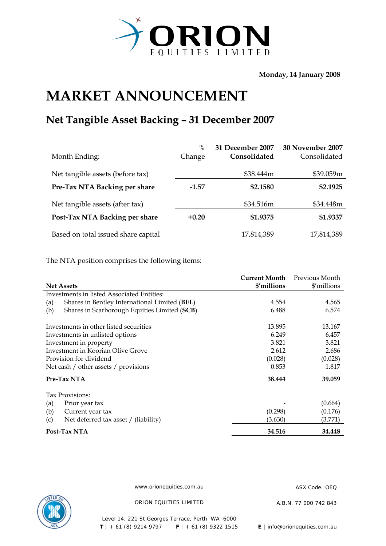

**Monday, 14 January 2008** 

## **MARKET ANNOUNCEMENT**

## **Net Tangible Asset Backing – 31 December 2007**

|                                     | $\%$    | 31 December 2007 | 30 November 2007 |
|-------------------------------------|---------|------------------|------------------|
| Month Ending:                       | Change  | Consolidated     | Consolidated     |
|                                     |         |                  |                  |
| Net tangible assets (before tax)    |         | \$38.444m        | \$39.059m        |
| Pre-Tax NTA Backing per share       | $-1.57$ | \$2.1580         | \$2.1925         |
| Net tangible assets (after tax)     |         | \$34.516m        | \$34.448m        |
| Post-Tax NTA Backing per share      | $+0.20$ | \$1.9375         | \$1.9337         |
| Based on total issued share capital |         | 17,814,389       | 17,814,389       |

The NTA position comprises the following items:

|                                                      | <b>Current Month</b> | Previous Month |
|------------------------------------------------------|----------------------|----------------|
| <b>Net Assets</b>                                    | \$'millions          | \$'millions    |
| Investments in listed Associated Entities:           |                      |                |
| Shares in Bentley International Limited (BEL)<br>(a) | 4.554                | 4.565          |
| Shares in Scarborough Equities Limited (SCB)<br>(b)  | 6.488                | 6.574          |
| Investments in other listed securities               | 13.895               | 13.167         |
| Investments in unlisted options                      | 6.249                | 6.457          |
| Investment in property                               | 3.821                | 3.821          |
| Investment in Koorian Olive Grove                    | 2.612                | 2.686          |
| Provision for dividend                               | (0.028)              | (0.028)        |
| Net cash / other assets / provisions                 | 0.853                | 1.817          |
| Pre-Tax NTA                                          | 38.444               | 39.059         |
| Tax Provisions:                                      |                      |                |
| (a)<br>Prior year tax                                |                      | (0.664)        |
| (b)<br>Current year tax                              | (0.298)              | (0.176)        |
| Net deferred tax asset / (liability)<br>(c)          | (3.630)              | (3.771)        |
| Post-Tax NTA                                         | 34.516               | 34.448         |



www.orionequities.com.au ASX Code: OEQ

ORION EQUITIES LIMITED A.B.N. 77 000 742 843

Level 14, 221 St Georges Terrace, Perth WA 6000  **T** | + 61 (8) 9214 9797 **F** | + 61 (8) 9322 1515 **E** | info@orionequities.com.au